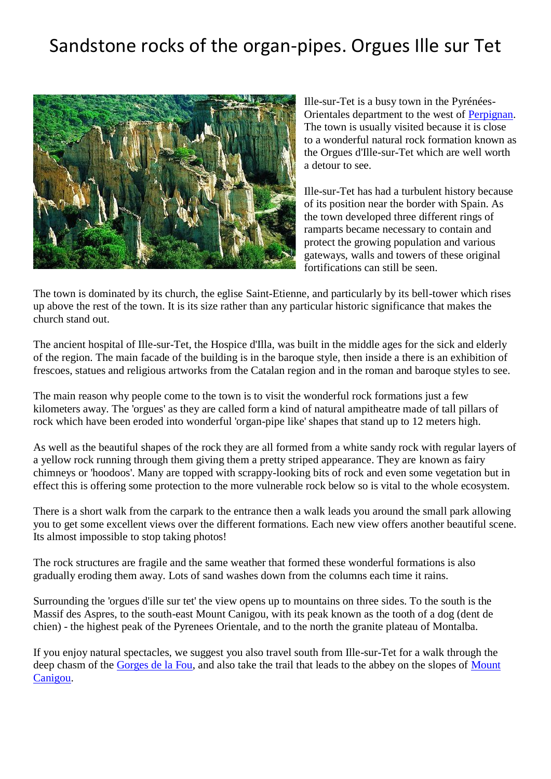## Sandstone rocks of the organ-pipes. Orgues Ille sur Tet



Ille-sur-Tet is a busy town in the Pyrénées-Orientales department to the west of [Perpignan.](http://www.francethisway.com/places/perpignan.php) The town is usually visited because it is close to a wonderful natural rock formation known as the Orgues d'Ille-sur-Tet which are well worth a detour to see.

Ille-sur-Tet has had a turbulent history because of its position near the border with Spain. As the town developed three different rings of ramparts became necessary to contain and protect the growing population and various gateways, walls and towers of these original fortifications can still be seen.

The town is dominated by its church, the eglise Saint-Etienne, and particularly by its bell-tower which rises up above the rest of the town. It is its size rather than any particular historic significance that makes the church stand out.

The ancient hospital of Ille-sur-Tet, the Hospice d'Illa, was built in the middle ages for the sick and elderly of the region. The main facade of the building is in the baroque style, then inside a there is an exhibition of frescoes, statues and religious artworks from the Catalan region and in the roman and baroque styles to see.

The main reason why people come to the town is to visit the wonderful rock formations just a few kilometers away. The 'orgues' as they are called form a kind of natural ampitheatre made of tall pillars of rock which have been eroded into wonderful 'organ-pipe like' shapes that stand up to 12 meters high.

As well as the beautiful shapes of the rock they are all formed from a white sandy rock with regular layers of a yellow rock running through them giving them a pretty striped appearance. They are known as fairy chimneys or 'hoodoos'. Many are topped with scrappy-looking bits of rock and even some vegetation but in effect this is offering some protection to the more vulnerable rock below so is vital to the whole ecosystem.

There is a short walk from the carpark to the entrance then a walk leads you around the small park allowing you to get some excellent views over the different formations. Each new view offers another beautiful scene. Its almost impossible to stop taking photos!

The rock structures are fragile and the same weather that formed these wonderful formations is also gradually eroding them away. Lots of sand washes down from the columns each time it rains.

Surrounding the 'orgues d'ille sur tet' the view opens up to mountains on three sides. To the south is the Massif des Aspres, to the south-east Mount Canigou, with its peak known as the tooth of a dog (dent de chien) - the highest peak of the Pyrenees Orientale, and to the north the granite plateau of Montalba.

If you enjoy natural spectacles, we suggest you also travel south from Ille-sur-Tet for a walk through the deep chasm of the [Gorges de la Fou,](http://www.francethisway.com/places/gorgesdelafou.php) and also take the trail that leads to the abbey on the slopes of Mount [Canigou.](http://www.francethisway.com/places/mount-canigou.php)